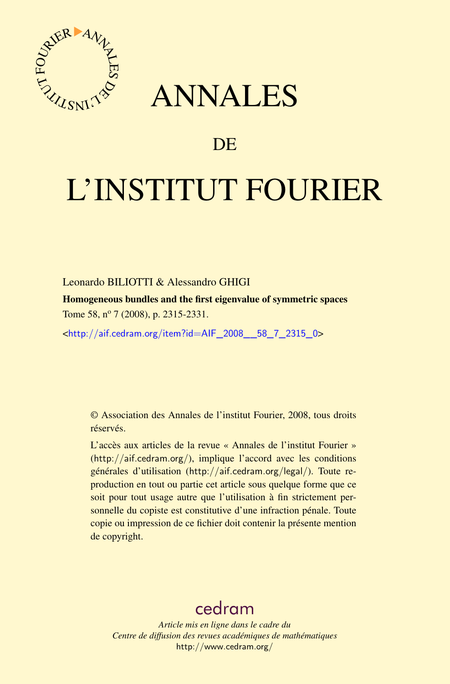

## ANNALES

## **DE**

# L'INSTITUT FOURIER

#### Leonardo BILIOTTI & Alessandro GHIGI

Homogeneous bundles and the first eigenvalue of symmetric spaces Tome 58, nº 7 (2008), p. 2315-2331.

<[http://aif.cedram.org/item?id=AIF\\_2008\\_\\_58\\_7\\_2315\\_0](http://aif.cedram.org/item?id=AIF_2008__58_7_2315_0)>

© Association des Annales de l'institut Fourier, 2008, tous droits réservés.

L'accès aux articles de la revue « Annales de l'institut Fourier » (<http://aif.cedram.org/>), implique l'accord avec les conditions générales d'utilisation (<http://aif.cedram.org/legal/>). Toute reproduction en tout ou partie cet article sous quelque forme que ce soit pour tout usage autre que l'utilisation à fin strictement personnelle du copiste est constitutive d'une infraction pénale. Toute copie ou impression de ce fichier doit contenir la présente mention de copyright.

## [cedram](http://www.cedram.org/)

*Article mis en ligne dans le cadre du Centre de diffusion des revues académiques de mathématiques* <http://www.cedram.org/>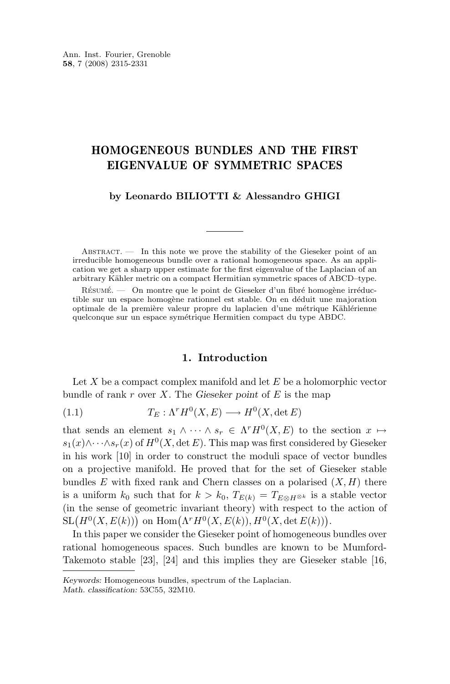### HOMOGENEOUS BUNDLES AND THE FIRST EIGENVALUE OF SYMMETRIC SPACES

#### **by Leonardo BILIOTTI & Alessandro GHIGI**

ABSTRACT.  $\qquad$  In this note we prove the stability of the Gieseker point of an irreducible homogeneous bundle over a rational homogeneous space. As an application we get a sharp upper estimate for the first eigenvalue of the Laplacian of an arbitrary Kähler metric on a compact Hermitian symmetric spaces of ABCD–type.

Résumé. — On montre que le point de Gieseker d'un fibré homogène irréductible sur un espace homogène rationnel est stable. On en déduit une majoration optimale de la première valeur propre du laplacien d'une métrique Kählérienne quelconque sur un espace symétrique Hermitien compact du type ABDC.

#### **1. Introduction**

Let  $X$  be a compact complex manifold and let  $E$  be a holomorphic vector bundle of rank r over X. The *Gieseker point* of E is the map

(1.1) 
$$
T_E: \Lambda^r H^0(X, E) \longrightarrow H^0(X, \det E)
$$

that sends an element  $s_1 \wedge \cdots \wedge s_r \in \Lambda^r H^0(X, E)$  to the section  $x \mapsto$  $s_1(x) \wedge \cdots \wedge s_r(x)$  of  $H^0(X, \det E)$ . This map was first considered by Gieseker in his work [\[10\]](#page-16-0) in order to construct the moduli space of vector bundles on a projective manifold. He proved that for the set of Gieseker stable bundles  $E$  with fixed rank and Chern classes on a polarised  $(X, H)$  there is a uniform  $k_0$  such that for  $k > k_0$ ,  $T_{E(k)} = T_{E \otimes H^{\otimes k}}$  is a stable vector (in the sense of geometric invariant theory) with respect to the action of  $SL(H^0(X, E(k)))$  on  $Hom(\Lambda^r H^0(X, E(k)), H^0(X, det E(k))).$ 

In this paper we consider the Gieseker point of homogeneous bundles over rational homogeneous spaces. Such bundles are known to be Mumford-Takemoto stable [\[23\]](#page-16-0), [\[24\]](#page-17-0) and this implies they are Gieseker stable [\[16,](#page-16-0)

*Keywords:* Homogeneous bundles, spectrum of the Laplacian.

*Math. classification:* 53C55, 32M10.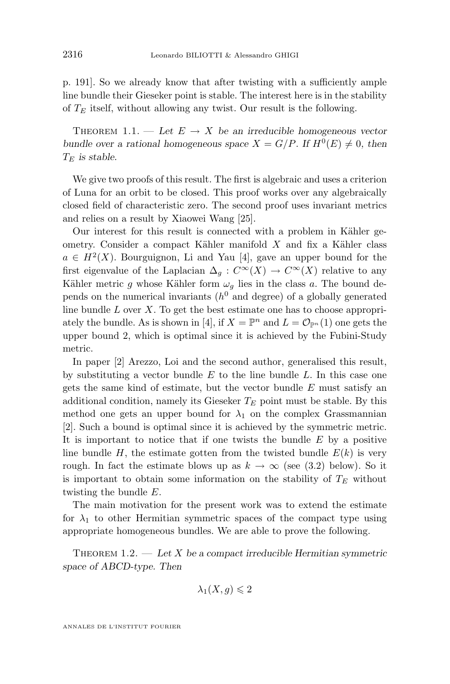<span id="page-2-0"></span>p. 191]. So we already know that after twisting with a sufficiently ample line bundle their Gieseker point is stable. The interest here is in the stability of  $T_E$  itself, without allowing any twist. Our result is the following.

THEOREM 1.1. — Let  $E \to X$  be an irreducible homogeneous vector *bundle over a rational homogeneous space*  $X = G/P$ . If  $H^0(E) \neq 0$ , then  $T_E$  is stable.

We give two proofs of this result. The first is algebraic and uses a criterion of Luna for an orbit to be closed. This proof works over any algebraically closed field of characteristic zero. The second proof uses invariant metrics and relies on a result by Xiaowei Wang [\[25\]](#page-17-0).

Our interest for this result is connected with a problem in Kähler geometry. Consider a compact Kähler manifold X and fix a Kähler class  $a \in H^2(X)$ . Bourguignon, Li and Yau [\[4\]](#page-16-0), gave an upper bound for the first eigenvalue of the Laplacian  $\Delta_q: C^{\infty}(X) \to C^{\infty}(X)$  relative to any Kähler metric g whose Kähler form  $\omega_g$  lies in the class a. The bound depends on the numerical invariants  $(h^0$  and degree) of a globally generated line bundle  $L$  over  $X$ . To get the best estimate one has to choose appropri-ately the bundle. As is shown in [\[4\]](#page-16-0), if  $X = \mathbb{P}^n$  and  $L = \mathcal{O}_{\mathbb{P}^n}(1)$  one gets the upper bound 2, which is optimal since it is achieved by the Fubini-Study metric.

In paper [\[2\]](#page-15-0) Arezzo, Loi and the second author, generalised this result, by substituting a vector bundle  $E$  to the line bundle  $L$ . In this case one gets the same kind of estimate, but the vector bundle  $E$  must satisfy an additional condition, namely its Gieseker  $T_E$  point must be stable. By this method one gets an upper bound for  $\lambda_1$  on the complex Grassmannian [\[2\]](#page-15-0). Such a bound is optimal since it is achieved by the symmetric metric. It is important to notice that if one twists the bundle  $E$  by a positive line bundle H, the estimate gotten from the twisted bundle  $E(k)$  is very rough. In fact the estimate blows up as  $k \to \infty$  (see [\(3.2\)](#page-10-0) below). So it is important to obtain some information on the stability of  $T_E$  without twisting the bundle E.

The main motivation for the present work was to extend the estimate for  $\lambda_1$  to other Hermitian symmetric spaces of the compact type using appropriate homogeneous bundles. We are able to prove the following.

Theorem 1.2. — *Let* X *be a compact irreducible Hermitian symmetric space of ABCD-type. Then*

$$
\lambda_1(X,g)\leqslant 2
$$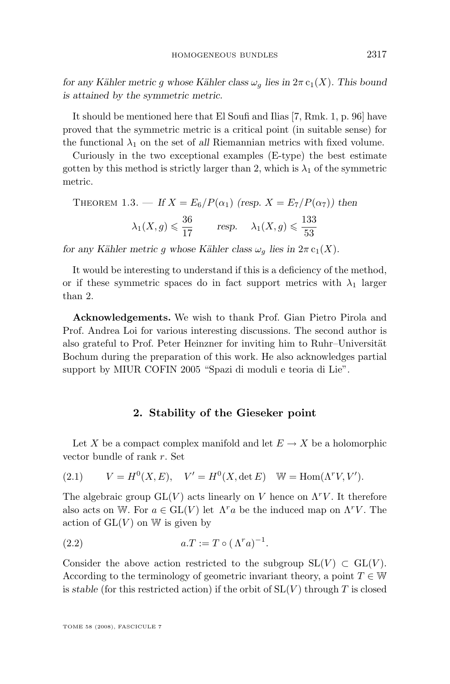<span id="page-3-0"></span>*for any Kähler metric g whose Kähler class*  $\omega_g$  *lies in*  $2\pi$  c<sub>1</sub>(X)*. This bound is attained by the symmetric metric.*

It should be mentioned here that El Soufi and Ilias [\[7,](#page-16-0) Rmk. 1, p. 96] have proved that the symmetric metric is a critical point (in suitable sense) for the functional  $\lambda_1$  on the set of *all* Riemannian metrics with fixed volume.

Curiously in the two exceptional examples (E-type) the best estimate gotten by this method is strictly larger than 2, which is  $\lambda_1$  of the symmetric metric.

THEOREM 1.3. — If 
$$
X = E_6/P(\alpha_1)
$$
 (resp.  $X = E_7/P(\alpha_7)$ ) then  

$$
\lambda_1(X, g) \leq \frac{36}{17}
$$
 resp.  $\lambda_1(X, g) \leq \frac{133}{53}$ 

*for any Kähler metric g whose Kähler class*  $\omega_g$  *lies in*  $2\pi c_1(X)$ *.* 

It would be interesting to understand if this is a deficiency of the method, or if these symmetric spaces do in fact support metrics with  $\lambda_1$  larger than 2.

**Acknowledgements.** We wish to thank Prof. Gian Pietro Pirola and Prof. Andrea Loi for various interesting discussions. The second author is also grateful to Prof. Peter Heinzner for inviting him to Ruhr–Universität Bochum during the preparation of this work. He also acknowledges partial support by MIUR COFIN 2005 "Spazi di moduli e teoria di Lie".

#### **2. Stability of the Gieseker point**

Let X be a compact complex manifold and let  $E \to X$  be a holomorphic vector bundle of rank r. Set

(2.1) 
$$
V = H^{0}(X, E), V' = H^{0}(X, \det E) \quad W = \text{Hom}(\Lambda^{r}V, V').
$$

The algebraic group  $GL(V)$  acts linearly on V hence on  $\Lambda^r V$ . It therefore also acts on W. For  $a \in GL(V)$  let  $\Lambda^r a$  be the induced map on  $\Lambda^r V$ . The action of  $GL(V)$  on W is given by

$$
(2.2) \t\t a.T := T \circ (\Lambda^r a)^{-1}.
$$

Consider the above action restricted to the subgroup  $SL(V) \subset GL(V)$ . According to the terminology of geometric invariant theory, a point  $T \in W$ is *stable* (for this restricted action) if the orbit of  $SL(V)$  through T is closed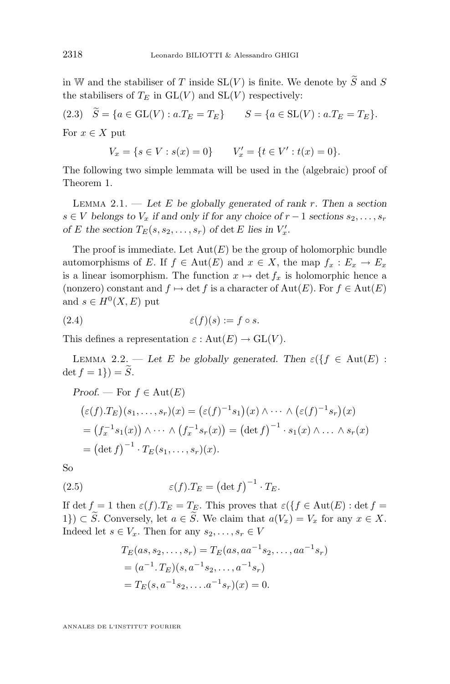<span id="page-4-0"></span>in W and the stabiliser of  $T$  inside  $\operatorname{SL}(V)$  is finite. We denote by  $\widetilde S$  and  $S$ the stabilisers of  $T_E$  in  $GL(V)$  and  $SL(V)$  respectively:

$$
(2.3) \quad S = \{a \in GL(V) : a.T_E = T_E\} \qquad S = \{a \in SL(V) : a.T_E = T_E\}.
$$

For  $x \in X$  put

$$
V_x = \{ s \in V : s(x) = 0 \} \qquad V'_x = \{ t \in V' : t(x) = 0 \}.
$$

The following two simple lemmata will be used in the (algebraic) proof of Theorem 1.

Lemma 2.1. — *Let* E *be globally generated of rank* r*. Then a section*  $s \in V$  *belongs to*  $V_x$  *if and only if for any choice of*  $r - 1$  *sections*  $s_2, \ldots, s_r$ *of E* the section  $T_E(s, s_2, \ldots, s_r)$  *of* det *E* lies in  $V'_x$ .

The proof is immediate. Let  $Aut(E)$  be the group of holomorphic bundle automorphisms of E. If  $f \in Aut(E)$  and  $x \in X$ , the map  $f_x : E_x \to E_x$ is a linear isomorphism. The function  $x \mapsto \det f_x$  is holomorphic hence a (nonzero) constant and  $f \mapsto \det f$  is a character of  $\text{Aut}(E)$ . For  $f \in \text{Aut}(E)$ and  $s \in H^0(X, E)$  put

$$
(2.4) \qquad \qquad \varepsilon(f)(s) := f \circ s.
$$

This defines a representation  $\varepsilon : \text{Aut}(E) \to \text{GL}(V)$ .

LEMMA 2.2. — Let E be globally generated. Then  $\varepsilon(f \in Aut(E))$ :  $\det f = 1$ } $= \widetilde{S}$ .

*Proof.* — For  $f \in Aut(E)$ 

$$
\begin{aligned} & \big(\varepsilon(f).T_E\big)(s_1,\ldots,s_r)(x) = \big(\varepsilon(f)^{-1}s_1\big)(x) \wedge \cdots \wedge \big(\varepsilon(f)^{-1}s_r\big)(x) \\ & = \big(f_x^{-1}s_1(x)\big) \wedge \cdots \wedge \big(f_x^{-1}s_r(x)\big) = \big(\det f\big)^{-1} \cdot s_1(x) \wedge \ldots \wedge s_r(x) \\ & = \big(\det f\big)^{-1} \cdot T_E(s_1,\ldots,s_r)(x). \end{aligned}
$$

So

(2.5) 
$$
\varepsilon(f).T_E = \left(\det f\right)^{-1} \cdot T_E.
$$

If det  $f = 1$  then  $\varepsilon(f)$ . T<sub>E</sub> = T<sub>E</sub>. This proves that  $\varepsilon(f \in Aut(E) : \det f =$ 1})  $\subset \widetilde{S}$ . Conversely, let  $a \in \widetilde{S}$ . We claim that  $a(V_x) = V_x$  for any  $x \in X$ . Indeed let  $s \in V_x$ . Then for any  $s_2, \ldots, s_r \in V$ 

$$
T_E(as, s_2, \dots, s_r) = T_E(as, aa^{-1} s_2, \dots, aa^{-1} s_r)
$$
  
=  $(a^{-1} \cdot T_E)(s, a^{-1} s_2, \dots, a^{-1} s_r)$   
=  $T_E(s, a^{-1} s_2, \dots, a^{-1} s_r)(x) = 0.$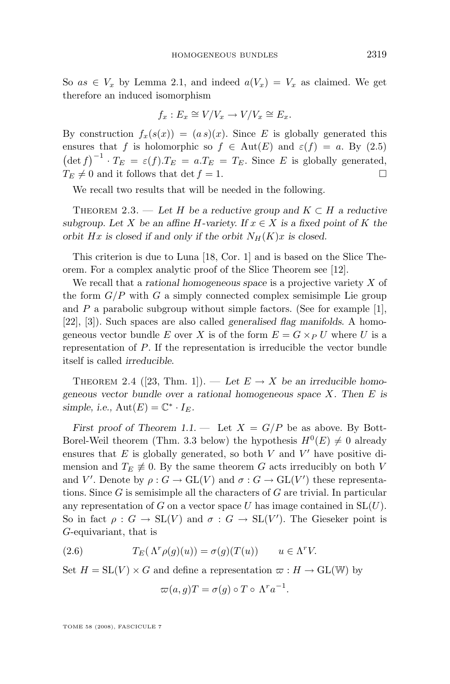<span id="page-5-0"></span>So  $as \in V_x$  by Lemma [2.1,](#page-4-0) and indeed  $a(V_x) = V_x$  as claimed. We get therefore an induced isomorphism

$$
f_x: E_x \cong V/V_x \to V/V_x \cong E_x.
$$

By construction  $f_x(s(x)) = (as)(x)$ . Since E is globally generated this ensures that f is holomorphic so  $f \in Aut(E)$  and  $\varepsilon(f) = a$ . By [\(2.5\)](#page-4-0)  $(\det f)^{-1} \cdot T_E = \varepsilon(f).T_E = a.T_E = T_E.$  Since E is globally generated,  $T_E \neq 0$  and it follows that det  $f = 1$ .

We recall two results that will be needed in the following.

THEOREM 2.3. — Let H be a reductive group and  $K \subset H$  a reductive *subgroup.* Let X be an affine H-variety. If  $x \in X$  is a fixed point of K the *orbit* Hx is closed if and only if the orbit  $N_H(K)x$  is closed.

This criterion is due to Luna [\[18,](#page-16-0) Cor. 1] and is based on the Slice Theorem. For a complex analytic proof of the Slice Theorem see [\[12\]](#page-16-0).

We recall that a *rational homogeneous space* is a projective variety X of the form  $G/P$  with G a simply connected complex semisimple Lie group and  $P$  a parabolic subgroup without simple factors. (See for example [\[1\]](#page-15-0), [\[22\]](#page-16-0), [\[3\]](#page-15-0)). Such spaces are also called *generalised flag manifolds*. A homogeneous vector bundle E over X is of the form  $E = G \times_{P} U$  where U is a representation of P. If the representation is irreducible the vector bundle itself is called *irreducible*.

THEOREM 2.4 ([\[23,](#page-16-0) Thm. 1]). — Let  $E \to X$  be an irreducible homo*geneous vector bundle over a rational homogeneous space* X*. Then* E *is* simple, i.e.,  $Aut(E) = \mathbb{C}^* \cdot I_E$ .

*First proof of Theorem [1.1.](#page-2-0)* — Let  $X = G/P$  be as above. By Bott-Borel-Weil theorem (Thm. [3.3](#page-11-0) below) the hypothesis  $H^0(E) \neq 0$  already ensures that  $E$  is globally generated, so both  $V$  and  $V'$  have positive dimension and  $T_E \neq 0$ . By the same theorem G acts irreducibly on both V and V'. Denote by  $\rho: G \to GL(V)$  and  $\sigma: G \to GL(V')$  these representations. Since  $G$  is semisimple all the characters of  $G$  are trivial. In particular any representation of G on a vector space U has image contained in  $SL(U)$ . So in fact  $\rho: G \to SL(V)$  and  $\sigma: G \to SL(V')$ . The Gieseker point is G-equivariant, that is

(2.6) 
$$
T_E(\Lambda^r \rho(g)(u)) = \sigma(g)(T(u)) \qquad u \in \Lambda^r V.
$$

Set  $H = SL(V) \times G$  and define a representation  $\varpi : H \to GL(W)$  by

$$
\varpi(a,g)T = \sigma(g) \circ T \circ \Lambda^r a^{-1}.
$$

TOME 58 (2008), FASCICULE 7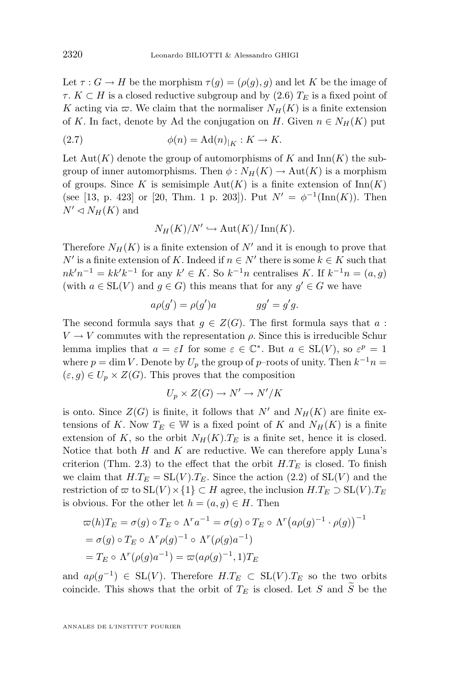Let  $\tau : G \to H$  be the morphism  $\tau(g) = (\rho(g), g)$  and let K be the image of  $\tau$ .  $K \subset H$  is a closed reductive subgroup and by [\(2.6\)](#page-5-0)  $T_E$  is a fixed point of K acting via  $\varpi$ . We claim that the normaliser  $N_H(K)$  is a finite extension of K. In fact, denote by Ad the conjugation on H. Given  $n \in N_H(K)$  put

(2.7) 
$$
\phi(n) = \mathrm{Ad}(n)_{|K} : K \to K.
$$

Let Aut(K) denote the group of automorphisms of K and  $\text{Inn}(K)$  the subgroup of inner automorphisms. Then  $\phi: N_H(K) \to \text{Aut}(K)$  is a morphism of groups. Since K is semisimple  $Aut(K)$  is a finite extension of  $Inn(K)$ (see [\[13,](#page-16-0) p. 423] or [\[20,](#page-16-0) Thm. 1 p. 203]). Put  $N' = \phi^{-1}(\text{Inn}(K))$ . Then  $N' \lhd N_H(K)$  and

$$
N_H(K)/N' \hookrightarrow \mathrm{Aut}(K)/\mathrm{Inn}(K).
$$

Therefore  $N_H(K)$  is a finite extension of N' and it is enough to prove that  $N'$  is a finite extension of K. Indeed if  $n \in N'$  there is some  $k \in K$  such that  $nk'n^{-1} = kk'k^{-1}$  for any  $k' \in K$ . So  $k^{-1}n$  centralises K. If  $k^{-1}n = (a, g)$ (with  $a \in SL(V)$  and  $g \in G$ ) this means that for any  $g' \in G$  we have

$$
a\rho(g') = \rho(g')a \qquad \qquad gg' = g'g.
$$

The second formula says that  $g \in Z(G)$ . The first formula says that a:  $V \rightarrow V$  commutes with the representation  $\rho$ . Since this is irreducible Schur lemma implies that  $a = \varepsilon I$  for some  $\varepsilon \in \mathbb{C}^*$ . But  $a \in SL(V)$ , so  $\varepsilon^p = 1$ where  $p = \dim V$ . Denote by  $U_p$  the group of  $p$ –roots of unity. Then  $k^{-1}n =$  $(\varepsilon, g) \in U_p \times Z(G)$ . This proves that the composition

$$
U_p \times Z(G) \to N' \to N'/K
$$

is onto. Since  $Z(G)$  is finite, it follows that N' and  $N_H(K)$  are finite extensions of K. Now  $T_E \in \mathbb{W}$  is a fixed point of K and  $N_H(K)$  is a finite extension of K, so the orbit  $N_H(K)$ .  $T_E$  is a finite set, hence it is closed. Notice that both  $H$  and  $K$  are reductive. We can therefore apply Luna's criterion (Thm. [2.3\)](#page-5-0) to the effect that the orbit  $H.T_E$  is closed. To finish we claim that  $H.T_E = SL(V).T_E$ . Since the action [\(2.2\)](#page-3-0) of  $SL(V)$  and the restriction of  $\varpi$  to  $SL(V) \times \{1\} \subset H$  agree, the inclusion  $H.T_E \supset SL(V).T_E$ is obvious. For the other let  $h = (a, g) \in H$ . Then

$$
\begin{aligned} \n\varpi(h)T_E &= \sigma(g) \circ T_E \circ \Lambda^r a^{-1} = \sigma(g) \circ T_E \circ \Lambda^r \big( a\rho(g)^{-1} \cdot \rho(g) \big)^{-1} \\ \n&= \sigma(g) \circ T_E \circ \Lambda^r \rho(g)^{-1} \circ \Lambda^r \big( \rho(g) a^{-1} \big) \\ \n&= T_E \circ \Lambda^r \big( \rho(g) a^{-1} \big) = \varpi(a\rho(g)^{-1}, 1) T_E \n\end{aligned}
$$

and  $a\rho(g^{-1}) \in SL(V)$ . Therefore  $H.T_E \subset SL(V).T_E$  so the two orbits coincide. This shows that the orbit of  $T_E$  is closed. Let S and  $\widetilde{S}$  be the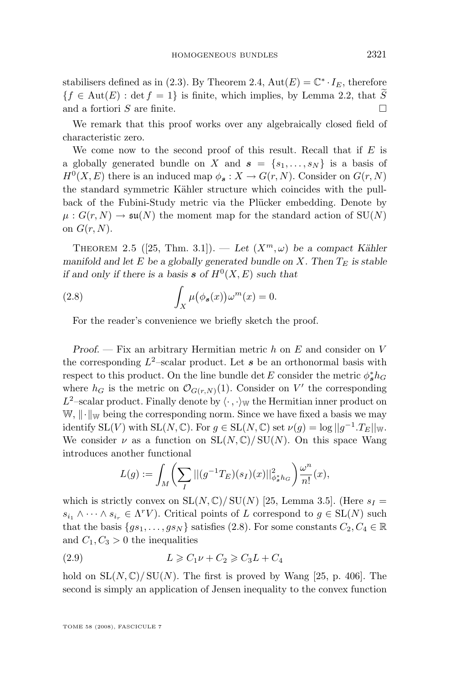<span id="page-7-0"></span>stabilisers defined as in [\(2.3\)](#page-4-0). By Theorem [2.4,](#page-5-0)  $Aut(E) = \mathbb{C}^* \cdot I_E$ , therefore { $f \in Aut(E)$ : det  $f = 1$ } is finite, which implies, by Lemma [2.2,](#page-4-0) that  $\widetilde{S}$  and a fortiori S are finite. □ and a fortiori S are finite.

We remark that this proof works over any algebraically closed field of characteristic zero.

We come now to the second proof of this result. Recall that if  $E$  is a globally generated bundle on X and  $s = \{s_1, \ldots, s_N\}$  is a basis of  $H^0(X, E)$  there is an induced map  $\phi_{\mathbf{s}} : X \to G(r, N)$ . Consider on  $G(r, N)$ the standard symmetric Kähler structure which coincides with the pullback of the Fubini-Study metric via the Plücker embedding. Denote by  $\mu: G(r, N) \to \mathfrak{su}(N)$  the moment map for the standard action of  $SU(N)$ on  $G(r, N)$ .

THEOREM 2.5 ([\[25,](#page-17-0) Thm. 3.1]). — Let  $(X^m,\omega)$  be a compact Kähler *manifold and let*  $E$  *be a globally generated bundle on*  $X$ *. Then*  $T_E$  *is stable if and only if there is a basis* s of  $H^0(X, E)$  *such that* 

(2.8) 
$$
\int_X \mu(\phi_{\mathbf{s}}(x)) \omega^m(x) = 0.
$$

For the reader's convenience we briefly sketch the proof.

*Proof. —* Fix an arbitrary Hermitian metric h on E and consider on V the corresponding  $L^2$ -scalar product. Let s be an orthonormal basis with respect to this product. On the line bundle det E consider the metric  $\phi_s^* h_G$ where  $h_G$  is the metric on  $\mathcal{O}_{G(r,N)}(1)$ . Consider on V' the corresponding  $L^2$ -scalar product. Finally denote by  $\langle \cdot, \cdot \rangle_{\mathbb{W}}$  the Hermitian inner product on  $\mathbb{W}, \|\cdot\|_{\mathbb{W}}$  being the corresponding norm. Since we have fixed a basis we may identify SL(V) with SL(N,  $\mathbb{C}$ ). For  $g \in SL(N, \mathbb{C})$  set  $\nu(g) = \log ||g^{-1} \cdot T_E||_{\mathbb{W}}$ . We consider  $\nu$  as a function on  $SL(N, \mathbb{C})/SU(N)$ . On this space Wang introduces another functional

$$
L(g) := \int_M \left( \sum_I ||(g^{-1}T_E)(s_I)(x)||_{\phi_s^*h_G}^2 \right) \frac{\omega^n}{n!}(x),
$$

which is strictly convex on  $SL(N, \mathbb{C})/SU(N)$  [\[25,](#page-17-0) Lemma 3.5]. (Here  $s_I =$  $s_{i_1} \wedge \cdots \wedge s_{i_r} \in \Lambda^r V$ ). Critical points of L correspond to  $g \in SL(N)$  such that the basis  ${gs_1, \ldots, gs_N}$  satisfies (2.8). For some constants  $C_2, C_4 \in \mathbb{R}$ and  $C_1, C_3 > 0$  the inequalities

$$
(2.9) \tL \geqslant C_1 \nu + C_2 \geqslant C_3 L + C_4
$$

hold on  $SL(N, \mathbb{C})/SU(N)$ . The first is proved by Wang [\[25,](#page-17-0) p. 406]. The second is simply an application of Jensen inequality to the convex function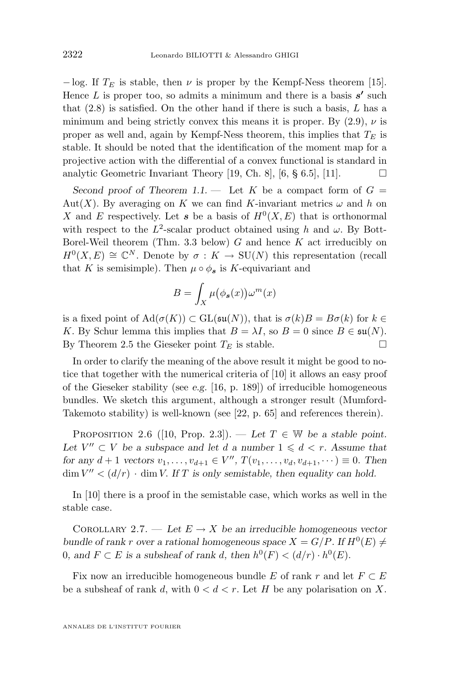$-\log$ . If  $T_E$  is stable, then  $\nu$  is proper by the Kempf-Ness theorem [\[15\]](#page-16-0). Hence L is proper too, so admits a minimum and there is a basis  $s'$  such that  $(2.8)$  is satisfied. On the other hand if there is such a basis, L has a minimum and being strictly convex this means it is proper. By  $(2.9)$ ,  $\nu$  is proper as well and, again by Kempf-Ness theorem, this implies that  $T_E$  is stable. It should be noted that the identification of the moment map for a projective action with the differential of a convex functional is standard in analytic Geometric Invariant Theory [\[19,](#page-16-0) Ch. 8], [\[6,](#page-16-0) § 6.5], [\[11\]](#page-16-0).  $\Box$ 

*Second proof of Theorem [1.1.](#page-2-0)* — Let K be a compact form of  $G =$ Aut(X). By averaging on K we can find K-invariant metrics  $\omega$  and h on X and E respectively. Let s be a basis of  $H^0(X, E)$  that is orthonormal with respect to the  $L^2$ -scalar product obtained using h and  $\omega$ . By Bott-Borel-Weil theorem (Thm. [3.3](#page-11-0) below)  $G$  and hence  $K$  act irreducibly on  $H^0(X, E) \cong \mathbb{C}^N$ . Denote by  $\sigma : K \to \mathrm{SU}(N)$  this representation (recall that K is semisimple). Then  $\mu \circ \phi_s$  is K-equivariant and

$$
B = \int_X \mu(\phi_{\mathbf{s}}(x)) \omega^m(x)
$$

is a fixed point of  $\text{Ad}(\sigma(K)) \subset \text{GL}(\mathfrak{su}(N))$ , that is  $\sigma(k)B = B\sigma(k)$  for  $k \in$ K. By Schur lemma this implies that  $B = \lambda I$ , so  $B = 0$  since  $B \in \mathfrak{su}(N)$ . By Theorem [2.5](#page-7-0) the Gieseker point  $T_E$  is stable.

In order to clarify the meaning of the above result it might be good to notice that together with the numerical criteria of [\[10\]](#page-16-0) it allows an easy proof of the Gieseker stability (see *e.g.* [\[16,](#page-16-0) p. 189]) of irreducible homogeneous bundles. We sketch this argument, although a stronger result (Mumford-Takemoto stability) is well-known (see [\[22,](#page-16-0) p. 65] and references therein).

PROPOSITION 2.6 ([\[10,](#page-16-0) Prop. 2.3]). — *Let*  $T \in \mathbb{W}$  *be a stable point.* Let  $V'' \subset V$  be a subspace and let d a number  $1 \leq d \leq r$ . Assume that *for any*  $d + 1$  *vectors*  $v_1, \ldots, v_{d+1} \in V''$ ,  $T(v_1, \ldots, v_d, v_{d+1}, \cdots) \equiv 0$ . Then  $\dim V'' < (d/r) \cdot \dim V$ . If T is only semistable, then equality can hold.

In [\[10\]](#page-16-0) there is a proof in the semistable case, which works as well in the stable case.

COROLLARY 2.7. — Let  $E \to X$  be an irreducible homogeneous vector *bundle of rank r over a rational homogeneous space*  $X = G/P$ . If  $H^0(E) \neq$ 0, and  $F \subset E$  is a subsheaf of rank d, then  $h^0(F) < (d/r) \cdot h^0(E)$ .

Fix now an irreducible homogeneous bundle E of rank r and let  $F \subset E$ be a subsheaf of rank d, with  $0 < d < r$ . Let H be any polarisation on X.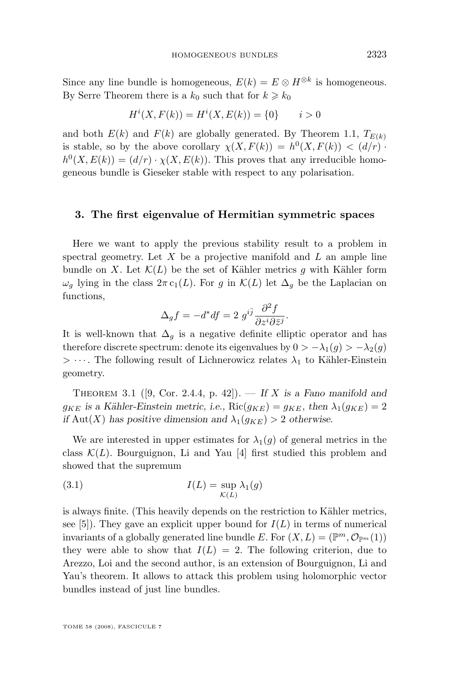<span id="page-9-0"></span>Since any line bundle is homogeneous,  $E(k) = E \otimes H^{\otimes k}$  is homogeneous. By Serre Theorem there is a  $k_0$  such that for  $k \geq k_0$ 

$$
H^{i}(X, F(k)) = H^{i}(X, E(k)) = \{0\} \qquad i > 0
$$

and both  $E(k)$  and  $F(k)$  are globally generated. By Theorem [1.1,](#page-2-0)  $T_{E(k)}$ is stable, so by the above corollary  $\chi(X, F(k)) = h^0(X, F(k)) < (d/r)$ .  $h^0(X, E(k)) = (d/r) \cdot \chi(X, E(k)).$  This proves that any irreducible homogeneous bundle is Gieseker stable with respect to any polarisation.

#### **3. The first eigenvalue of Hermitian symmetric spaces**

Here we want to apply the previous stability result to a problem in spectral geometry. Let  $X$  be a projective manifold and  $L$  an ample line bundle on X. Let  $\mathcal{K}(L)$  be the set of Kähler metrics g with Kähler form  $\omega_q$  lying in the class  $2\pi c_1(L)$ . For g in  $\mathcal{K}(L)$  let  $\Delta_q$  be the Laplacian on functions,

$$
\Delta_g f = -d^* df = 2 g^{i\bar{j}} \frac{\partial^2 f}{\partial z^i \partial \bar{z}^j}.
$$

It is well-known that  $\Delta_g$  is a negative definite elliptic operator and has therefore discrete spectrum: denote its eigenvalues by  $0 > -\lambda_1(g) > -\lambda_2(g)$  $> \cdots$ . The following result of Lichnerowicz relates  $\lambda_1$  to Kähler-Einstein geometry.

THEOREM 3.1 ([\[9,](#page-16-0) Cor. 2.4.4, p. 42]). — *If* X is a Fano manifold and  $g_{KE}$  is a Kähler-Einstein metric, i.e.,  $\text{Ric}(g_{KE}) = g_{KE}$ , then  $\lambda_1(g_{KE}) = 2$ *if* Aut(X) has positive dimension and  $\lambda_1(q_{KE}) > 2$  otherwise.

We are interested in upper estimates for  $\lambda_1(q)$  of general metrics in the class  $\mathcal{K}(L)$ . Bourguignon, Li and Yau [\[4\]](#page-16-0) first studied this problem and showed that the supremum

(3.1) 
$$
I(L) = \sup_{\mathcal{K}(L)} \lambda_1(g)
$$

is always finite. (This heavily depends on the restriction to Kähler metrics, see [\[5\]](#page-16-0)). They gave an explicit upper bound for  $I(L)$  in terms of numerical invariants of a globally generated line bundle E. For  $(X, L) = (\mathbb{P}^m, \mathcal{O}_{\mathbb{P}^m}(1))$ they were able to show that  $I(L) = 2$ . The following criterion, due to Arezzo, Loi and the second author, is an extension of Bourguignon, Li and Yau's theorem. It allows to attack this problem using holomorphic vector bundles instead of just line bundles.

TOME 58 (2008), FASCICULE 7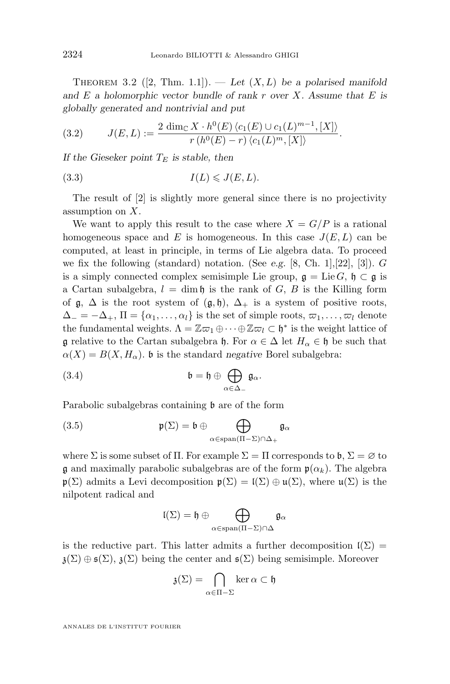<span id="page-10-0"></span>THEOREM 3.2 ([\[2,](#page-15-0) Thm. 1.1]). — Let  $(X, L)$  be a polarised manifold *and* E *a holomorphic vector bundle of rank* r *over* X*. Assume that* E *is globally generated and nontrivial and put*

(3.2) 
$$
J(E, L) := \frac{2 \dim_{\mathbb{C}} X \cdot h^0(E) \langle c_1(E) \cup c_1(L)^{m-1}, [X] \rangle}{r (h^0(E) - r) \langle c_1(L)^m, [X] \rangle}.
$$

If the Gieseker point  $T_E$  *is stable, then* 

$$
(3.3) \tI(L) \leqslant J(E, L).
$$

The result of [\[2\]](#page-15-0) is slightly more general since there is no projectivity assumption on X.

We want to apply this result to the case where  $X = G/P$  is a rational homogeneous space and E is homogeneous. In this case  $J(E, L)$  can be computed, at least in principle, in terms of Lie algebra data. To proceed we fix the following (standard) notation. (See *e.g.* [\[8,](#page-16-0) Ch. 1],[\[22\]](#page-16-0), [\[3\]](#page-15-0)). G is a simply connected complex semisimple Lie group,  $\mathfrak{g} = \text{Lie } G$ ,  $\mathfrak{h} \subset \mathfrak{g}$  is a Cartan subalgebra,  $l = \dim \mathfrak{h}$  is the rank of G, B is the Killing form of  $\mathfrak{g}, \Delta$  is the root system of  $(\mathfrak{g}, \mathfrak{h}), \Delta_+$  is a system of positive roots,  $\Delta_- = -\Delta_+$ ,  $\Pi = {\alpha_1, \ldots, \alpha_l}$  is the set of simple roots,  $\varpi_1, \ldots, \varpi_l$  denote the fundamental weights.  $\Lambda = \mathbb{Z}\omega_1 \oplus \cdots \oplus \mathbb{Z}\omega_l \subset \mathfrak{h}^*$  is the weight lattice of g relative to the Cartan subalgebra h. For  $\alpha \in \Delta$  let  $H_{\alpha} \in \mathfrak{h}$  be such that  $\alpha(X) = B(X, H_{\alpha})$ . b is the standard *negative* Borel subalgebra:

(3.4) 
$$
\mathfrak{b} = \mathfrak{h} \oplus \bigoplus_{\alpha \in \Delta_{-}} \mathfrak{g}_{\alpha}.
$$

Parabolic subalgebras containing  $\mathfrak b$  are of the form

(3.5) 
$$
\mathfrak{p}(\Sigma) = \mathfrak{b} \oplus \bigoplus_{\alpha \in \mathrm{span}(\Pi - \Sigma) \cap \Delta_+} \mathfrak{g}_{\alpha}
$$

where  $\Sigma$  is some subset of  $\Pi$ . For example  $\Sigma = \Pi$  corresponds to  $\mathfrak{b}, \Sigma = \emptyset$  to g and maximally parabolic subalgebras are of the form  $\mathfrak{p}(\alpha_k)$ . The algebra  $\mathfrak{p}(\Sigma)$  admits a Levi decomposition  $\mathfrak{p}(\Sigma) = \mathfrak{l}(\Sigma) \oplus \mathfrak{u}(\Sigma)$ , where  $\mathfrak{u}(\Sigma)$  is the nilpotent radical and

$$
\mathfrak{l}(\Sigma)=\mathfrak{h}\oplus\bigoplus_{\alpha\in\mathrm{span}(\Pi-\Sigma)\cap\Delta}\mathfrak{g}_{\alpha}
$$

is the reductive part. This latter admits a further decomposition  $\mathfrak{l}(\Sigma)$  =  $\mathfrak{z}(\Sigma) \oplus \mathfrak{s}(\Sigma)$ ,  $\mathfrak{z}(\Sigma)$  being the center and  $\mathfrak{s}(\Sigma)$  being semisimple. Moreover

$$
\mathfrak{z}(\Sigma)=\bigcap_{\alpha\in\Pi-\Sigma}\ker\alpha\subset\mathfrak{h}
$$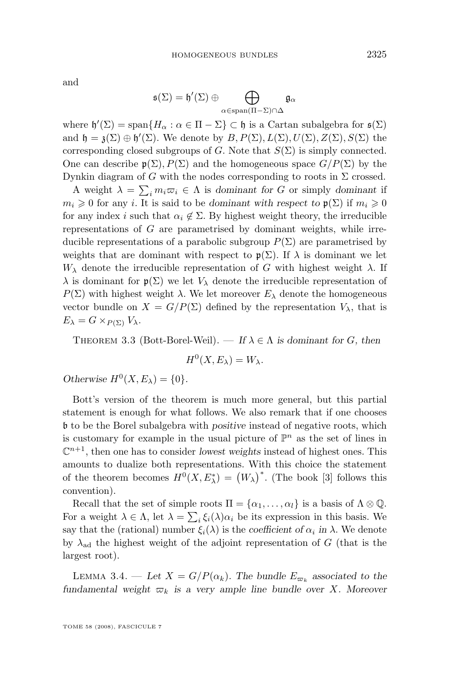<span id="page-11-0"></span>and

$$
\mathfrak{s}(\Sigma)=\mathfrak{h}'(\Sigma)\oplus \bigoplus_{\alpha\in \mathrm{span}(\Pi-\Sigma)\cap \Delta} \mathfrak{g}_{\alpha}
$$

where  $\mathfrak{h}'(\Sigma) = \text{span}\{H_\alpha : \alpha \in \Pi - \Sigma\} \subset \mathfrak{h}$  is a Cartan subalgebra for  $\mathfrak{s}(\Sigma)$ and  $\mathfrak{h} = \mathfrak{z}(\Sigma) \oplus \mathfrak{h}'(\Sigma)$ . We denote by  $B, P(\Sigma), L(\Sigma), U(\Sigma), Z(\Sigma), S(\Sigma)$  the corresponding closed subgroups of G. Note that  $S(\Sigma)$  is simply connected. One can describe  $\mathfrak{p}(\Sigma), P(\Sigma)$  and the homogeneous space  $G/P(\Sigma)$  by the Dynkin diagram of G with the nodes corresponding to roots in  $\Sigma$  crossed.

A weight  $\lambda = \sum_i m_i \overline{\omega}_i \in \Lambda$  is dominant for G or simply dominant if  $m_i \geq 0$  for any *i*. It is said to be *dominant with respect to*  $\mathfrak{p}(\Sigma)$  if  $m_i \geq 0$ for any index i such that  $\alpha_i \notin \Sigma$ . By highest weight theory, the irreducible representations of  $G$  are parametrised by dominant weights, while irreducible representations of a parabolic subgroup  $P(\Sigma)$  are parametrised by weights that are dominant with respect to  $\mathfrak{p}(\Sigma)$ . If  $\lambda$  is dominant we let  $W_{\lambda}$  denote the irreducible representation of G with highest weight  $\lambda$ . If  $\lambda$  is dominant for  $\mathfrak{p}(\Sigma)$  we let  $V_{\lambda}$  denote the irreducible representation of  $P(\Sigma)$  with highest weight  $\lambda$ . We let moreover  $E_{\lambda}$  denote the homogeneous vector bundle on  $X = G/P(\Sigma)$  defined by the representation  $V_{\lambda}$ , that is  $E_{\lambda} = G \times_{P(\Sigma)} V_{\lambda}.$ 

THEOREM 3.3 (Bott-Borel-Weil). — If  $\lambda \in \Lambda$  *is dominant for* G, then

$$
H^0(X, E_\lambda) = W_\lambda.
$$

*Otherwise*  $H^0(X, E_\lambda) = \{0\}.$ 

Bott's version of the theorem is much more general, but this partial statement is enough for what follows. We also remark that if one chooses b to be the Borel subalgebra with *positive* instead of negative roots, which is customary for example in the usual picture of  $\mathbb{P}^n$  as the set of lines in  $\mathbb{C}^{n+1}$ , then one has to consider *lowest weights* instead of highest ones. This amounts to dualize both representations. With this choice the statement of the theorem becomes  $H^0(X, E^*_\lambda) = (W_\lambda)^*$ . (The book [\[3\]](#page-15-0) follows this convention).

Recall that the set of simple roots  $\Pi = {\alpha_1, \ldots, \alpha_l}$  is a basis of  $\Lambda \otimes \mathbb{Q}$ . For a weight  $\lambda \in \Lambda$ , let  $\lambda = \sum_i \xi_i(\lambda) \alpha_i$  be its expression in this basis. We say that the (rational) number  $\xi_i(\lambda)$  is the *coefficient of*  $\alpha_i$  in  $\lambda$ . We denote by  $\lambda_{\rm ad}$  the highest weight of the adjoint representation of G (that is the largest root).

LEMMA 3.4. — Let  $X = G/P(\alpha_k)$ . The bundle  $E_{\varpi_k}$  associated to the *fundamental weight*  $\varpi_k$  *is a very ample line bundle over* X*. Moreover*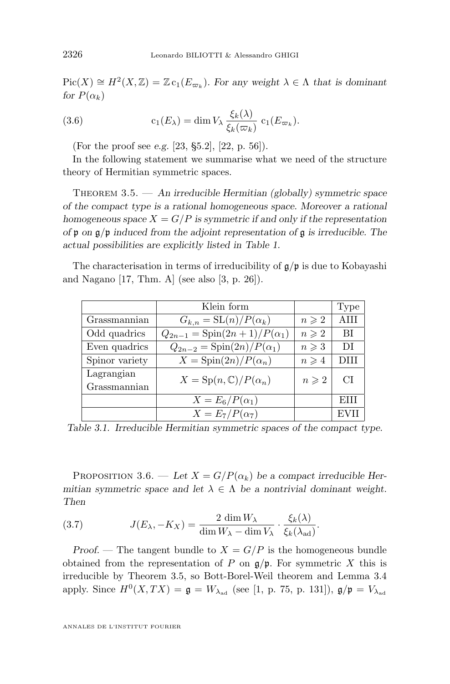<span id="page-12-0"></span> $Pic(X) \cong H^2(X,\mathbb{Z}) = \mathbb{Z} c_1(E_{\varpi_k})$ . For any weight  $\lambda \in \Lambda$  that is dominant *for*  $P(\alpha_k)$ 

(3.6) 
$$
c_1(E_{\lambda}) = \dim V_{\lambda} \frac{\xi_k(\lambda)}{\xi_k(\varpi_k)} c_1(E_{\varpi_k}).
$$

(For the proof see *e.g.* [\[23,](#page-16-0) §5.2], [\[22,](#page-16-0) p. 56]).

In the following statement we summarise what we need of the structure theory of Hermitian symmetric spaces.

Theorem 3.5. — *An irreducible Hermitian (globally) symmetric space of the compact type is a rational homogeneous space. Moreover a rational homogeneous space* X = G/P *is symmetric if and only if the representation of* p *on* g/p *induced from the adjoint representation of* g *is irreducible. The actual possibilities are explicitly listed in Table 1.*

The characterisation in terms of irreducibility of  $g/p$  is due to Kobayashi and Nagano [\[17,](#page-16-0) Thm. A] (see also [\[3,](#page-15-0) p. 26]).

|                | Klein form                                 |                 | Type           |
|----------------|--------------------------------------------|-----------------|----------------|
| Grassmannian   | $G_{k,n} = SL(n)/P(\alpha_k)$              | $n \geqslant 2$ | <b>AIII</b>    |
| Odd quadrics   | $Q_{2n-1} = \text{Spin}(2n+1)/P(\alpha_1)$ | $n \geqslant 2$ | <b>BI</b>      |
| Even quadrics  | $Q_{2n-2} = \text{Spin}(2n)/P(\alpha_1)$   | $n \geqslant 3$ | DI             |
| Spinor variety | $X = \text{Spin}(2n)/P(\alpha_n)$          | $n \geqslant 4$ | DHI            |
| Lagrangian     | $X = Sp(n, \mathbb{C})/P(\alpha_n)$        | $n \geqslant 2$ | C <sub>I</sub> |
| Grassmannian   |                                            |                 |                |
|                | $X = E_6/P(\alpha_1)$                      |                 | EHI            |
|                | $X = E_7/P(\alpha_7)$                      |                 | <b>EVII</b>    |

*Table 3.1. Irreducible Hermitian symmetric spaces of the compact type.*

PROPOSITION 3.6. — Let  $X = G/P(\alpha_k)$  be a compact irreducible Her*mitian symmetric space and let*  $\lambda \in \Lambda$  *be a nontrivial dominant weight. Then*

(3.7) 
$$
J(E_{\lambda}, -K_X) = \frac{2 \dim W_{\lambda}}{\dim W_{\lambda} - \dim V_{\lambda}} \cdot \frac{\xi_k(\lambda)}{\xi_k(\lambda_{ad})}.
$$

*Proof.* — The tangent bundle to  $X = G/P$  is the homogeneous bundle obtained from the representation of P on  $g/p$ . For symmetric X this is irreducible by Theorem 3.5, so Bott-Borel-Weil theorem and Lemma [3.4](#page-11-0) apply. Since  $H^0(X, TX) = \mathfrak{g} = W_{\lambda_{\text{ad}}}$  (see [\[1,](#page-15-0) p. 75, p. 131]),  $\mathfrak{g}/\mathfrak{p} = V_{\lambda_{\text{ad}}}$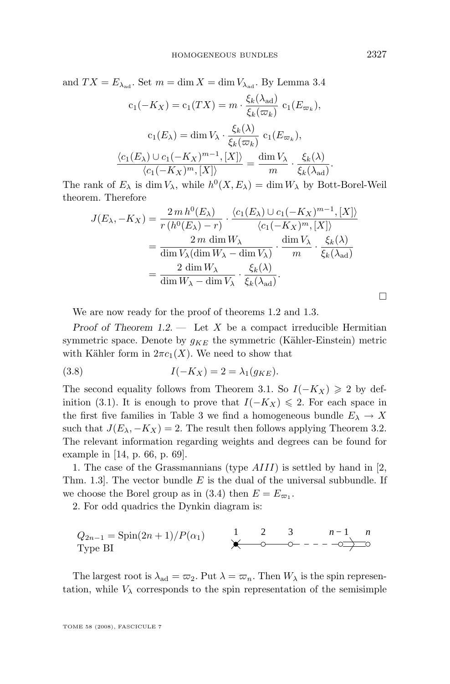and  $TX = E_{\lambda_{ad}}$ . Set  $m = \dim X = \dim V_{\lambda_{ad}}$ . By Lemma [3.4](#page-11-0)

$$
c_1(-K_X) = c_1(TX) = m \cdot \frac{\xi_k(\lambda_{ad})}{\xi_k(\varpi_k)} c_1(E_{\varpi_k}),
$$

$$
c_1(E_\lambda) = \dim V_\lambda \cdot \frac{\xi_k(\lambda)}{\xi_k(\varpi_k)} c_1(E_{\varpi_k}),
$$

$$
\frac{\langle c_1(E_\lambda) \cup c_1(-K_X)^{m-1}, [X] \rangle}{\langle c_1(-K_X)^m, [X] \rangle} = \frac{\dim V_\lambda}{m} \cdot \frac{\xi_k(\lambda)}{\xi_k(\lambda_{ad})}.
$$

The rank of  $E_{\lambda}$  is dim  $V_{\lambda}$ , while  $h^0(X, E_{\lambda}) = \dim W_{\lambda}$  by Bott-Borel-Weil theorem. Therefore

$$
J(E_{\lambda}, -K_X) = \frac{2 \, m \, h^0(E_{\lambda})}{r \, (h^0(E_{\lambda}) - r)} \cdot \frac{\langle c_1(E_{\lambda}) \cup c_1(-K_X)^{m-1}, [X] \rangle}{\langle c_1(-K_X)^m, [X] \rangle}
$$
  
= 
$$
\frac{2 \, m \, \dim W_{\lambda}}{\dim V_{\lambda}(\dim W_{\lambda} - \dim V_{\lambda})} \cdot \frac{\dim V_{\lambda}}{m} \cdot \frac{\xi_k(\lambda)}{\xi_k(\lambda_{ad})}
$$
  
= 
$$
\frac{2 \, \dim W_{\lambda}}{\dim W_{\lambda} - \dim V_{\lambda}} \cdot \frac{\xi_k(\lambda)}{\xi_k(\lambda_{ad})}.
$$

We are now ready for the proof of theorems [1.2](#page-2-0) and [1.3.](#page-3-0)

*Proof of Theorem [1.2.](#page-2-0) —* Let X be a compact irreducible Hermitian symmetric space. Denote by  $g_{KE}$  the symmetric (Kähler-Einstein) metric with Kähler form in  $2\pi c_1(X)$ . We need to show that

(3.8) 
$$
I(-K_X) = 2 = \lambda_1(g_{KE}).
$$

The second equality follows from Theorem [3.1.](#page-9-0) So  $I(-K_X) \geq 2$  by def-inition [\(3.1\)](#page-9-0). It is enough to prove that  $I(-K_X) \leq 2$ . For each space in the first five families in Table [3](#page-12-0) we find a homogeneous bundle  $E_{\lambda} \to X$ such that  $J(E_{\lambda}, -K_X) = 2$ . The result then follows applying Theorem [3.2.](#page-9-0) The relevant information regarding weights and degrees can be found for example in [\[14,](#page-16-0) p. 66, p. 69].

1. The case of the Grassmannians (type  $AIII$ ) is settled by hand in [\[2,](#page-15-0) Thm. 1.3. The vector bundle  $E$  is the dual of the universal subbundle. If we choose the Borel group as in [\(3.4\)](#page-10-0) then  $E = E_{\varpi_1}$ .

2. For odd quadrics the Dynkin diagram is:

$$
Q_{2n-1} = \text{Spin}(2n+1)/P(\alpha_1) \qquad \qquad \frac{1}{\sqrt{2}} \qquad \frac{2}{\sqrt{2}} \qquad \frac{3}{\sqrt{2}} \qquad \frac{n-1}{\sqrt{2}} \qquad \frac{n}{\sqrt{2}} \qquad \frac{1}{\sqrt{2}} \qquad \frac{2}{\sqrt{2}} \qquad \frac{3}{\sqrt{2}} \qquad \frac{n-1}{\sqrt{2}} \qquad \frac{n-1}{\sqrt{2}} \qquad \frac{n}{\sqrt{2}} \qquad \frac{1}{\sqrt{2}} \qquad \frac{3}{\sqrt{2}} \qquad \frac{n-1}{\sqrt{2}} \qquad \frac{n-1}{\sqrt{2}} \qquad \frac{n-1}{\sqrt{2}} \qquad \frac{n-1}{\sqrt{2}} \qquad \frac{n-1}{\sqrt{2}} \qquad \frac{n-1}{\sqrt{2}} \qquad \frac{n-1}{\sqrt{2}} \qquad \frac{n-1}{\sqrt{2}} \qquad \frac{n-1}{\sqrt{2}} \qquad \frac{n-1}{\sqrt{2}} \qquad \frac{n-1}{\sqrt{2}} \qquad \frac{n-1}{\sqrt{2}} \qquad \frac{n-1}{\sqrt{2}} \qquad \frac{n-1}{\sqrt{2}} \qquad \frac{n-1}{\sqrt{2}} \qquad \frac{n-1}{\sqrt{2}} \qquad \frac{n-1}{\sqrt{2}} \qquad \frac{n-1}{\sqrt{2}} \qquad \frac{n-1}{\sqrt{2}} \qquad \frac{n-1}{\sqrt{2}} \qquad \frac{n-1}{\sqrt{2}} \qquad \frac{n-1}{\sqrt{2}} \qquad \frac{n-1}{\sqrt{2}} \qquad \frac{n-1}{\sqrt{2}} \qquad \frac{n-1}{\sqrt{2}} \qquad \frac{n-1}{\sqrt{2}} \qquad \frac{n-1}{\sqrt{2}} \qquad \frac{n-1}{\sqrt{2}} \qquad \frac{n-1}{\sqrt{2}} \qquad \frac{n-1}{\sqrt{2}} \qquad \frac{n-1}{\sqrt{2}} \qquad \frac{n-1}{\sqrt{2}} \qquad \frac{n-1}{\sqrt{2}} \qquad \frac{n-1}{\sqrt{2}} \qquad \frac{n-1}{\sqrt{2}} \qquad \frac{n-1}{\sqrt{2}} \qquad \frac{n-1}{\sqrt{2}} \qquad \frac{n-1}{\sqrt{2}} \qquad \frac{n-1}{\sqrt{2}} \qquad \frac{n-1}{\sqrt{2}} \q
$$

The largest root is  $\lambda_{\text{ad}} = \varpi_2$ . Put  $\lambda = \varpi_n$ . Then  $W_\lambda$  is the spin representation, while  $V_{\lambda}$  corresponds to the spin representation of the semisimple

 $\Box$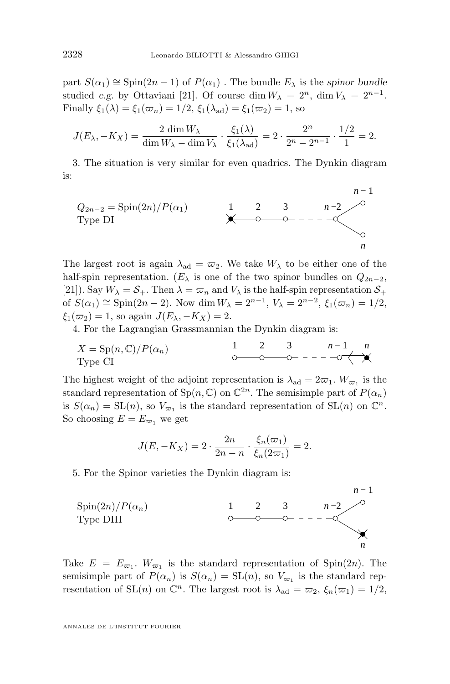part  $S(\alpha_1) \cong$  Spin $(2n-1)$  of  $P(\alpha_1)$ . The bundle  $E_\lambda$  is the *spinor bundle* studied *e.g.* by Ottaviani [\[21\]](#page-16-0). Of course dim  $W_{\lambda} = 2^{n}$ , dim  $V_{\lambda} = 2^{n-1}$ . Finally  $\xi_1(\lambda) = \xi_1(\varpi_n) = 1/2$ ,  $\xi_1(\lambda_{ad}) = \xi_1(\varpi_2) = 1$ , so

$$
J(E_{\lambda}, -K_X) = \frac{2 \dim W_{\lambda}}{\dim W_{\lambda} - \dim V_{\lambda}} \cdot \frac{\xi_1(\lambda)}{\xi_1(\lambda_{ad})} = 2 \cdot \frac{2^n}{2^n - 2^{n-1}} \cdot \frac{1/2}{1} = 2.
$$

3. The situation is very similar for even quadrics. The Dynkin diagram is:



The largest root is again  $\lambda_{\text{ad}} = \varpi_2$ . We take  $W_\lambda$  to be either one of the half-spin representation. ( $E_\lambda$  is one of the two spinor bundles on  $Q_{2n-2}$ , [\[21\]](#page-16-0)). Say  $W_{\lambda} = S_{+}$ . Then  $\lambda = \varpi_n$  and  $V_{\lambda}$  is the half-spin representation  $S_{+}$ of  $S(\alpha_1) \cong$  Spin(2n – 2). Now dim  $W_{\lambda} = 2^{n-1}$ ,  $V_{\lambda} = 2^{n-2}$ ,  $\xi_1(\varpi_n) = 1/2$ ,  $\xi_1(\varpi_2) = 1$ , so again  $J(E_\lambda, -K_X) = 2$ .

4. For the Lagrangian Grassmannian the Dynkin diagram is:

$$
X = \text{Sp}(n, \mathbb{C})/P(\alpha_n)
$$
\n
$$
\frac{1}{\circ} \quad \frac{2}{\circ} \quad \frac{3}{\circ} \quad \frac{n-1}{\circ} \quad \frac{n}{\circ}
$$
\nType CI

The highest weight of the adjoint representation is  $\lambda_{ad} = 2\varpi_1$ .  $W_{\varpi_1}$  is the standard representation of  $Sp(n, \mathbb{C})$  on  $\mathbb{C}^{2n}$ . The semisimple part of  $P(\alpha_n)$ is  $S(\alpha_n) = SL(n)$ , so  $V_{\varpi_1}$  is the standard representation of  $SL(n)$  on  $\mathbb{C}^n$ . So choosing  $E = E_{\varpi_1}$  we get

$$
J(E, -K_X) = 2 \cdot \frac{2n}{2n - n} \cdot \frac{\xi_n(\varpi_1)}{\xi_n(2\varpi_1)} = 2.
$$

5. For the Spinor varieties the Dynkin diagram is:

Spin(2n)/P(αn) Type DIII *n* −2 *n* − 1 1 2 3 *n*

Take  $E = E_{\varpi_1}$ .  $W_{\varpi_1}$  is the standard representation of Spin(2n). The semisimple part of  $P(\alpha_n)$  is  $S(\alpha_n) = SL(n)$ , so  $V_{\varpi_1}$  is the standard representation of  $SL(n)$  on  $\mathbb{C}^n$ . The largest root is  $\lambda_{ad} = \varpi_2$ ,  $\xi_n(\varpi_1) = 1/2$ ,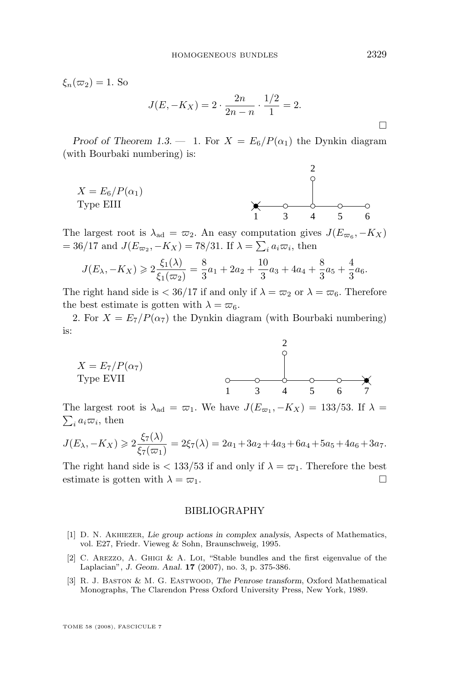<span id="page-15-0"></span> $\xi_n(\varpi_2) = 1$ . So

$$
J(E, -K_X) = 2 \cdot \frac{2n}{2n - n} \cdot \frac{1/2}{1} = 2.
$$

 $\Delta$ 

*Proof of Theorem [1.3.](#page-3-0)*  $- 1$ . For  $X = E_6/P(\alpha_1)$  the Dynkin diagram (with Bourbaki numbering) is:

$$
X = E_6/P(\alpha_1)
$$
  
Type EIII  
1 3 4 5 6

The largest root is  $\lambda_{\text{ad}} = \varpi_2$ . An easy computation gives  $J(E_{\varpi_6}, -K_X)$  $= 36/17$  and  $J(E_{\varpi_2}, -K_X) = 78/31$ . If  $\lambda = \sum_i a_i \varpi_i$ , then

$$
J(E_{\lambda}, -K_X) \geqslant 2 \frac{\xi_1(\lambda)}{\xi_1(\varpi_2)} = \frac{8}{3}a_1 + 2a_2 + \frac{10}{3}a_3 + 4a_4 + \frac{8}{3}a_5 + \frac{4}{3}a_6.
$$

The right hand side is  $\langle 36/17 \rangle$  if and only if  $\lambda = \varpi_2$  or  $\lambda = \varpi_6$ . Therefore the best estimate is gotten with  $\lambda = \varpi_6$ .

2. For  $X = E_7/P(\alpha_7)$  the Dynkin diagram (with Bourbaki numbering) is:

$$
X = E_7/P(\alpha_7)
$$
\nType EVII\n
$$
1 \quad 3 \quad 4 \quad 5 \quad 6 \quad 7
$$

The largest root is  $\lambda_{ad} = \varpi_1$ . We have  $J(E_{\varpi_1}, -K_X) = 133/53$ . If  $\lambda =$  $\sum_i a_i \varpi_i$ , then

$$
J(E_{\lambda}, -K_X) \geq 2\frac{\xi_7(\lambda)}{\xi_7(\varpi_1)} = 2\xi_7(\lambda) = 2a_1 + 3a_2 + 4a_3 + 6a_4 + 5a_5 + 4a_6 + 3a_7.
$$

The right hand side is  $\langle 133/53 \rangle$  if and only if  $\lambda = \varpi_1$ . Therefore the best estimate is gotten with  $\lambda = \varpi_1$ .

#### BIBLIOGRAPHY

- [1] D. N. Akhiezer, *Lie group actions in complex analysis*, Aspects of Mathematics, vol. E27, Friedr. Vieweg & Sohn, Braunschweig, 1995.
- [2] C. Arezzo, A. Ghigi & A. Loi, "Stable bundles and the first eigenvalue of the Laplacian", *J. Geom. Anal.* **17** (2007), no. 3, p. 375-386.
- [3] R. J. Baston & M. G. Eastwood, *The Penrose transform*, Oxford Mathematical Monographs, The Clarendon Press Oxford University Press, New York, 1989.

TOME 58 (2008), FASCICULE 7

 $\Box$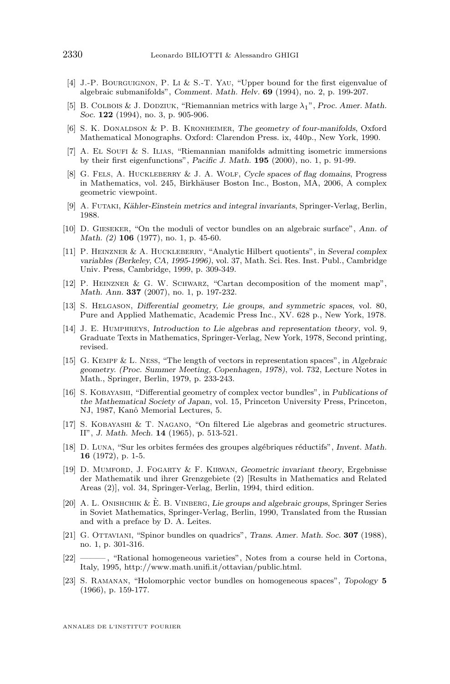- <span id="page-16-0"></span>[4] J.-P. Bourguignon, P. Li & S.-T. Yau, "Upper bound for the first eigenvalue of algebraic submanifolds", *Comment. Math. Helv.* **69** (1994), no. 2, p. 199-207.
- [5] B. Colbois & J. Dodziuk, "Riemannian metrics with large λ1", *Proc. Amer. Math. Soc.* **122** (1994), no. 3, p. 905-906.
- [6] S. K. DONALDSON & P. B. KRONHEIMER, *The geometry of four-manifolds*, Oxford Mathematical Monographs. Oxford: Clarendon Press. ix, 440p., New York, 1990.
- $[7]$  A. El Soufi & S. Illias, "Riemannian manifolds admitting isometric immersions by their first eigenfunctions", *Pacific J. Math.* **195** (2000), no. 1, p. 91-99.
- [8] G. Fels, A. Huckleberry & J. A. Wolf, *Cycle spaces of flag domains*, Progress in Mathematics, vol. 245, Birkhäuser Boston Inc., Boston, MA, 2006, A complex geometric viewpoint.
- [9] A. Futaki, *Kähler-Einstein metrics and integral invariants*, Springer-Verlag, Berlin, 1988.
- [10] D. Gieseker, "On the moduli of vector bundles on an algebraic surface", *Ann. of Math. (2)* **106** (1977), no. 1, p. 45-60.
- [11] P. Heinzner & A. Huckleberry, "Analytic Hilbert quotients", in *Several complex variables (Berkeley, CA, 1995-1996)*, vol. 37, Math. Sci. Res. Inst. Publ., Cambridge Univ. Press, Cambridge, 1999, p. 309-349.
- [12] P. Heinzner & G. W. Schwarz, "Cartan decomposition of the moment map", *Math. Ann.* **337** (2007), no. 1, p. 197-232.
- [13] S. Helgason, *Differential geometry, Lie groups, and symmetric spaces*, vol. 80, Pure and Applied Mathematic, Academic Press Inc., XV. 628 p., New York, 1978.
- [14] J. E. Humphreys, *Introduction to Lie algebras and representation theory*, vol. 9, Graduate Texts in Mathematics, Springer-Verlag, New York, 1978, Second printing, revised.
- [15] G. Kempf & L. Ness, "The length of vectors in representation spaces", in *Algebraic geometry. (Proc. Summer Meeting, Copenhagen, 1978)*, vol. 732, Lecture Notes in Math., Springer, Berlin, 1979, p. 233-243.
- [16] S. Kobayashi, "Differential geometry of complex vector bundles", in *Publications of the Mathematical Society of Japan*, vol. 15, Princeton University Press, Princeton, NJ, 1987, Kanô Memorial Lectures, 5.
- [17] S. Kobayashi & T. Nagano, "On filtered Lie algebras and geometric structures. II", *J. Math. Mech.* **14** (1965), p. 513-521.
- [18] D. Luna, "Sur les orbites fermées des groupes algébriques réductifs", *Invent. Math.* **16** (1972), p. 1-5.
- [19] D. Mumford, J. Fogarty & F. Kirwan, *Geometric invariant theory*, Ergebnisse der Mathematik und ihrer Grenzgebiete (2) [Results in Mathematics and Related Areas (2)], vol. 34, Springer-Verlag, Berlin, 1994, third edition.
- [20] A. L. Onishchik & È. B. Vinberg, *Lie groups and algebraic groups*, Springer Series in Soviet Mathematics, Springer-Verlag, Berlin, 1990, Translated from the Russian and with a preface by D. A. Leites.
- [21] G. Ottaviani, "Spinor bundles on quadrics", *Trans. Amer. Math. Soc.* **307** (1988), no. 1, p. 301-316.
- [22] ——— , "Rational homogeneous varieties", Notes from a course held in Cortona, Italy, 1995, http://www.math.unifi.it/ottavian/public.html.
- [23] S. Ramanan, "Holomorphic vector bundles on homogeneous spaces", *Topology* **5** (1966), p. 159-177.